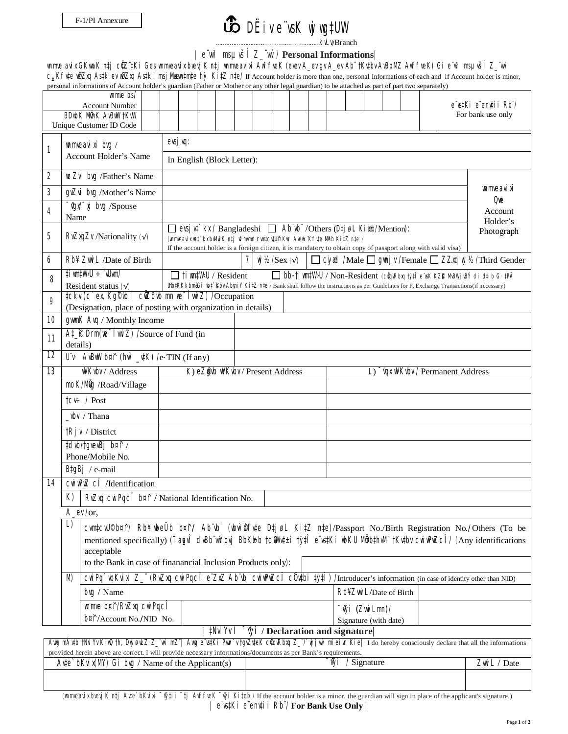## DËiv e¨vsK wjwg‡UW

….….….……………..……………………………kvLv/Branch

## | e¨vw³ msµvšÍ Z\_¨vw`/ **Personal Informations**|

wnmve avix GKwaK n‡j cÜZ¨‡Ki Ges wnmveavix bvevjK n‡j wnmveavixi AwffveK (evev A\_ev gv A\_ev Ab¨ †Ku‡bv AvBbMZ AwffveK) Gi e¨w<sup>3</sup> msµvšÍ Z\_¨wì c\_Kfv‡e wØZxq As‡k ev wØZxq As‡ki msj Mævn‡m‡e hy<sup>3</sup> Ki‡Z n‡e/ If Account holder is more than one, personal Informations of each and if Account holder is minor,

|                                                                                                                                                                  |                                                                                                                                                                                                                                                                                                     | personal informations of Account holder's guardian (Father or Mother or any other legal guardian) to be attached as part of part two separately)                    |                                                                                                               |                                                                                                            |  |  |  |  |                            |  |  |            |  |                     |  |  |  |  |
|------------------------------------------------------------------------------------------------------------------------------------------------------------------|-----------------------------------------------------------------------------------------------------------------------------------------------------------------------------------------------------------------------------------------------------------------------------------------------------|---------------------------------------------------------------------------------------------------------------------------------------------------------------------|---------------------------------------------------------------------------------------------------------------|------------------------------------------------------------------------------------------------------------|--|--|--|--|----------------------------|--|--|------------|--|---------------------|--|--|--|--|
| $umwe$ bs/                                                                                                                                                       |                                                                                                                                                                                                                                                                                                     |                                                                                                                                                                     |                                                                                                               |                                                                                                            |  |  |  |  |                            |  |  |            |  | e s‡Ki e endii Rb / |  |  |  |  |
| <b>Account Number</b><br><b>BDubK MinK AvBWV †KvW</b>                                                                                                            |                                                                                                                                                                                                                                                                                                     |                                                                                                                                                                     |                                                                                                               |                                                                                                            |  |  |  |  |                            |  |  |            |  | For bank use only   |  |  |  |  |
|                                                                                                                                                                  |                                                                                                                                                                                                                                                                                                     | Unique Customer ID Code                                                                                                                                             |                                                                                                               |                                                                                                            |  |  |  |  |                            |  |  |            |  |                     |  |  |  |  |
|                                                                                                                                                                  |                                                                                                                                                                                                                                                                                                     |                                                                                                                                                                     | evsj vq:                                                                                                      |                                                                                                            |  |  |  |  |                            |  |  |            |  |                     |  |  |  |  |
| 1                                                                                                                                                                | $umweavixi$ byg /                                                                                                                                                                                                                                                                                   |                                                                                                                                                                     |                                                                                                               |                                                                                                            |  |  |  |  |                            |  |  |            |  |                     |  |  |  |  |
|                                                                                                                                                                  |                                                                                                                                                                                                                                                                                                     | Account Holder's Name                                                                                                                                               | In English (Block Letter):                                                                                    |                                                                                                            |  |  |  |  |                            |  |  |            |  |                     |  |  |  |  |
| $\overline{2}$                                                                                                                                                   |                                                                                                                                                                                                                                                                                                     | <b>ICZVi</b> byg /Father's Name                                                                                                                                     |                                                                                                               |                                                                                                            |  |  |  |  |                            |  |  |            |  |                     |  |  |  |  |
| 3                                                                                                                                                                |                                                                                                                                                                                                                                                                                                     |                                                                                                                                                                     | <b><i>unmveavixi</i></b>                                                                                      |                                                                                                            |  |  |  |  |                            |  |  |            |  |                     |  |  |  |  |
|                                                                                                                                                                  |                                                                                                                                                                                                                                                                                                     | gyZvi byg /Mother's Name                                                                                                                                            | $Q_{\text{NE}}$                                                                                               |                                                                                                            |  |  |  |  |                            |  |  |            |  |                     |  |  |  |  |
| 4                                                                                                                                                                |                                                                                                                                                                                                                                                                                                     | <sup>n</sup> gw <sup>-</sup> i bvg / Spouse                                                                                                                         |                                                                                                               |                                                                                                            |  |  |  |  |                            |  |  | Account    |  |                     |  |  |  |  |
|                                                                                                                                                                  | Name                                                                                                                                                                                                                                                                                                |                                                                                                                                                                     | evsj v $\uparrow$ kx / Bangladeshi $\Box$ Ab vb / Others (D $\uparrow$ j øL Ki æb/Mention):                   |                                                                                                            |  |  |  |  |                            |  |  | Holder's   |  |                     |  |  |  |  |
| 5                                                                                                                                                                | RvZxqZv /Nationality (v)                                                                                                                                                                                                                                                                            |                                                                                                                                                                     | (unmveavix wet' kx bwlwi K ntj wfmwnn cwntcvtUP Kwc Avewk Kfvte Mhb KitZ nte /                                |                                                                                                            |  |  |  |  |                            |  |  | Photograph |  |                     |  |  |  |  |
|                                                                                                                                                                  |                                                                                                                                                                                                                                                                                                     |                                                                                                                                                                     | If the account holder is a foreign citizen, it is mandatory to obtain copy of passport along with valid visa) |                                                                                                            |  |  |  |  |                            |  |  |            |  |                     |  |  |  |  |
| 6                                                                                                                                                                |                                                                                                                                                                                                                                                                                                     | Rb¥ Zwi L /Date of Birth                                                                                                                                            |                                                                                                               | $\Box$ Cy al /Male $\Box$ gynj v /Female $\Box$ ZZxq wj ½ /Third Gender<br>7<br>$\psi$ /Sex ( $\sqrt{ }$ ) |  |  |  |  |                            |  |  |            |  |                     |  |  |  |  |
| 8                                                                                                                                                                |                                                                                                                                                                                                                                                                                                     | #iwm#W>U ÷ vUvm/                                                                                                                                                    | $\Box$ tim#WU / Resident<br>□ bb-tiwn#W>U / Non-Resident (cŵqwRbxq tỳi e vsK KZK MwBWjwBÝ di dtib G· tPÄ      |                                                                                                            |  |  |  |  |                            |  |  |            |  |                     |  |  |  |  |
|                                                                                                                                                                  |                                                                                                                                                                                                                                                                                                     | Ulb‡RKkbm&Gi ub‡`Rbv AbyniY Ki‡Z n‡e / Bank shall follow the instructions as per Guidelines for F. Exchange Transactions(if necessary)<br>Resident status $(\sqrt)$ |                                                                                                               |                                                                                                            |  |  |  |  |                            |  |  |            |  |                     |  |  |  |  |
| 9                                                                                                                                                                | ‡ckv (c`ex, Kg <sup>©</sup> vb   ciZôvb mn we <sup>-</sup> [wi Z) / Occupation                                                                                                                                                                                                                      |                                                                                                                                                                     |                                                                                                               |                                                                                                            |  |  |  |  |                            |  |  |            |  |                     |  |  |  |  |
|                                                                                                                                                                  |                                                                                                                                                                                                                                                                                                     | (Designation, place of posting with organization in details)                                                                                                        |                                                                                                               |                                                                                                            |  |  |  |  |                            |  |  |            |  |                     |  |  |  |  |
| 10                                                                                                                                                               |                                                                                                                                                                                                                                                                                                     | gwmK Avq / Monthly Income                                                                                                                                           |                                                                                                               |                                                                                                            |  |  |  |  |                            |  |  |            |  |                     |  |  |  |  |
| 11                                                                                                                                                               |                                                                                                                                                                                                                                                                                                     | At P Drm(we [wwi Z) /Source of Fund (in                                                                                                                             |                                                                                                               |                                                                                                            |  |  |  |  |                            |  |  |            |  |                     |  |  |  |  |
|                                                                                                                                                                  | details)                                                                                                                                                                                                                                                                                            |                                                                                                                                                                     |                                                                                                               |                                                                                                            |  |  |  |  |                            |  |  |            |  |                     |  |  |  |  |
| 12                                                                                                                                                               |                                                                                                                                                                                                                                                                                                     | U'v. AvBwW b¤î (hw` _v‡K) /e-TIN (If any)                                                                                                                           |                                                                                                               |                                                                                                            |  |  |  |  |                            |  |  |            |  |                     |  |  |  |  |
| $\overline{13}$                                                                                                                                                  |                                                                                                                                                                                                                                                                                                     | WKvbv / Address                                                                                                                                                     | K) eZgvb wKvbv / Present Address<br>"vqx wWVkvbv / Permanent Address<br>L)                                    |                                                                                                            |  |  |  |  |                            |  |  |            |  |                     |  |  |  |  |
|                                                                                                                                                                  |                                                                                                                                                                                                                                                                                                     | moK/Mg /Road/Village                                                                                                                                                |                                                                                                               |                                                                                                            |  |  |  |  |                            |  |  |            |  |                     |  |  |  |  |
|                                                                                                                                                                  |                                                                                                                                                                                                                                                                                                     | $\text{ICV} \div / \text{Post}$                                                                                                                                     |                                                                                                               |                                                                                                            |  |  |  |  |                            |  |  |            |  |                     |  |  |  |  |
|                                                                                                                                                                  |                                                                                                                                                                                                                                                                                                     | _vbv / Thana                                                                                                                                                        |                                                                                                               |                                                                                                            |  |  |  |  |                            |  |  |            |  |                     |  |  |  |  |
|                                                                                                                                                                  |                                                                                                                                                                                                                                                                                                     |                                                                                                                                                                     |                                                                                                               |                                                                                                            |  |  |  |  |                            |  |  |            |  |                     |  |  |  |  |
|                                                                                                                                                                  |                                                                                                                                                                                                                                                                                                     | $ \mathsf{R} \mathsf{V} $ / District                                                                                                                                |                                                                                                               |                                                                                                            |  |  |  |  |                            |  |  |            |  |                     |  |  |  |  |
|                                                                                                                                                                  |                                                                                                                                                                                                                                                                                                     | tdvb/tgvevBj b¤î /                                                                                                                                                  |                                                                                                               |                                                                                                            |  |  |  |  |                            |  |  |            |  |                     |  |  |  |  |
|                                                                                                                                                                  |                                                                                                                                                                                                                                                                                                     | Phone/Mobile No.                                                                                                                                                    |                                                                                                               |                                                                                                            |  |  |  |  |                            |  |  |            |  |                     |  |  |  |  |
|                                                                                                                                                                  |                                                                                                                                                                                                                                                                                                     | B‡gBj / e-mail                                                                                                                                                      |                                                                                                               |                                                                                                            |  |  |  |  |                            |  |  |            |  |                     |  |  |  |  |
| 14                                                                                                                                                               |                                                                                                                                                                                                                                                                                                     | $C$ Wi WPWZ $C\hat{I}$ /Identification                                                                                                                              |                                                                                                               |                                                                                                            |  |  |  |  |                            |  |  |            |  |                     |  |  |  |  |
|                                                                                                                                                                  |                                                                                                                                                                                                                                                                                                     | K)   RVZXq CWİ Pqc $\hat{I}$ b¤ $\hat{T}$ / National Identification No.                                                                                             |                                                                                                               |                                                                                                            |  |  |  |  |                            |  |  |            |  |                     |  |  |  |  |
|                                                                                                                                                                  |                                                                                                                                                                                                                                                                                                     | A_ev/or,                                                                                                                                                            |                                                                                                               |                                                                                                            |  |  |  |  |                            |  |  |            |  |                     |  |  |  |  |
|                                                                                                                                                                  | L)                                                                                                                                                                                                                                                                                                  |                                                                                                                                                                     |                                                                                                               |                                                                                                            |  |  |  |  |                            |  |  |            |  |                     |  |  |  |  |
|                                                                                                                                                                  | cvmtcvU®b¤î/ Rb¥ wbeÜb b¤î/ Abïvb¨ (wbw`®fîyte D‡jøL KitZ nte)/Passport No./Birth Registration No./Others (To be<br>mentioned specifically) ( $i$ and $\hat{I}$ dvBb wiv qv i BbKkb tc W+ $\pm i$ ty $i\hat{I}$ e vst Ki wbKU Mbbth M tky the cuive $\mathbb{Z}$ (Any identifications<br>acceptable |                                                                                                                                                                     |                                                                                                               |                                                                                                            |  |  |  |  |                            |  |  |            |  |                     |  |  |  |  |
|                                                                                                                                                                  |                                                                                                                                                                                                                                                                                                     |                                                                                                                                                                     |                                                                                                               |                                                                                                            |  |  |  |  |                            |  |  |            |  |                     |  |  |  |  |
|                                                                                                                                                                  |                                                                                                                                                                                                                                                                                                     | to the Bank in case of finanancial Inclusion Products only):                                                                                                        |                                                                                                               |                                                                                                            |  |  |  |  |                            |  |  |            |  |                     |  |  |  |  |
|                                                                                                                                                                  | M)                                                                                                                                                                                                                                                                                                  | CWIPQ`VbKVixi Z_ (RVZXQ CWIPQCI e ZXZ Ab'Vb' CWIWPZCI COVtbi tyti)/Introducer's information (in case of identity other than NID)                                    |                                                                                                               |                                                                                                            |  |  |  |  |                            |  |  |            |  |                     |  |  |  |  |
|                                                                                                                                                                  |                                                                                                                                                                                                                                                                                                     | byq / Name                                                                                                                                                          | Rb¥ Zwi L/Date of Birth                                                                                       |                                                                                                            |  |  |  |  |                            |  |  |            |  |                     |  |  |  |  |
|                                                                                                                                                                  |                                                                                                                                                                                                                                                                                                     | wnmve b¤î/RvZxq cwi PqcÎ                                                                                                                                            |                                                                                                               |                                                                                                            |  |  |  |  | <sup>-</sup> ŵi (ZwwiLmn)/ |  |  |            |  |                     |  |  |  |  |
|                                                                                                                                                                  |                                                                                                                                                                                                                                                                                                     | b¤î/Account No./NID No.                                                                                                                                             |                                                                                                               |                                                                                                            |  |  |  |  | Signature (with date)      |  |  |            |  |                     |  |  |  |  |
| ‡Nvl Yv T<br>$\bar{y}$ i / Declaration and signature                                                                                                             |                                                                                                                                                                                                                                                                                                     |                                                                                                                                                                     |                                                                                                               |                                                                                                            |  |  |  |  |                            |  |  |            |  |                     |  |  |  |  |
| Awg mAuth tNul Yv KinQ th, Duj onLZ Z_wi mZ"  Awg e stKi Pwn'v tgvZuteK cuquRbuq Z_/'uj jwi mieim Kie  I do hereby consciously declare that all the informations |                                                                                                                                                                                                                                                                                                     |                                                                                                                                                                     |                                                                                                               |                                                                                                            |  |  |  |  |                            |  |  |            |  |                     |  |  |  |  |
|                                                                                                                                                                  |                                                                                                                                                                                                                                                                                                     | provided herein above are correct. I will provide necessary informations/documents as per Bank's requirements.                                                      |                                                                                                               |                                                                                                            |  |  |  |  |                            |  |  |            |  |                     |  |  |  |  |
|                                                                                                                                                                  |                                                                                                                                                                                                                                                                                                     | $A$ u‡e`bKvix(MY) Gi bvg / Name of the Applicant(s)                                                                                                                 |                                                                                                               |                                                                                                            |  |  |  |  | Wi / Signature             |  |  |            |  | Zwi L / Date        |  |  |  |  |
|                                                                                                                                                                  |                                                                                                                                                                                                                                                                                                     |                                                                                                                                                                     |                                                                                                               |                                                                                                            |  |  |  |  |                            |  |  |            |  |                     |  |  |  |  |
|                                                                                                                                                                  |                                                                                                                                                                                                                                                                                                     |                                                                                                                                                                     |                                                                                                               |                                                                                                            |  |  |  |  |                            |  |  |            |  |                     |  |  |  |  |

(wnmweavix bvevj K ntj Avte`bKvixi <sup>-</sup> \*j HuffveK <sup>-</sup> \*yji Ki‡eb / If the account holder is a minor, the guardian will sign in place of the applicant's signature.) | e¨vs‡Ki e¨env‡ii Rb¨/ **For Bank Use Only** |